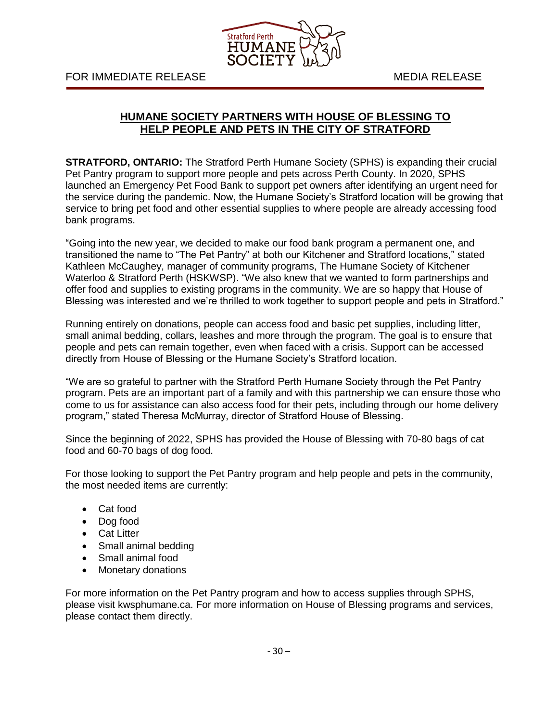

## **HUMANE SOCIETY PARTNERS WITH HOUSE OF BLESSING TO HELP PEOPLE AND PETS IN THE CITY OF STRATFORD**

**STRATFORD, ONTARIO:** The Stratford Perth Humane Society (SPHS) is expanding their crucial Pet Pantry program to support more people and pets across Perth County. In 2020, SPHS launched an Emergency Pet Food Bank to support pet owners after identifying an urgent need for the service during the pandemic. Now, the Humane Society's Stratford location will be growing that service to bring pet food and other essential supplies to where people are already accessing food bank programs.

"Going into the new year, we decided to make our food bank program a permanent one, and transitioned the name to "The Pet Pantry" at both our Kitchener and Stratford locations," stated Kathleen McCaughey, manager of community programs, The Humane Society of Kitchener Waterloo & Stratford Perth (HSKWSP). "We also knew that we wanted to form partnerships and offer food and supplies to existing programs in the community. We are so happy that House of Blessing was interested and we're thrilled to work together to support people and pets in Stratford."

Running entirely on donations, people can access food and basic pet supplies, including litter, small animal bedding, collars, leashes and more through the program. The goal is to ensure that people and pets can remain together, even when faced with a crisis. Support can be accessed directly from House of Blessing or the Humane Society's Stratford location.

"We are so grateful to partner with the Stratford Perth Humane Society through the Pet Pantry program. Pets are an important part of a family and with this partnership we can ensure those who come to us for assistance can also access food for their pets, including through our home delivery program," stated Theresa McMurray, director of Stratford House of Blessing.

Since the beginning of 2022, SPHS has provided the House of Blessing with 70-80 bags of cat food and 60-70 bags of dog food.

For those looking to support the Pet Pantry program and help people and pets in the community, the most needed items are currently:

- Cat food
- Dog food
- Cat Litter
- Small animal bedding
- Small animal food
- Monetary donations

For more information on the Pet Pantry program and how to access supplies through SPHS, please visit kwsphumane.ca. For more information on House of Blessing programs and services, please contact them directly.